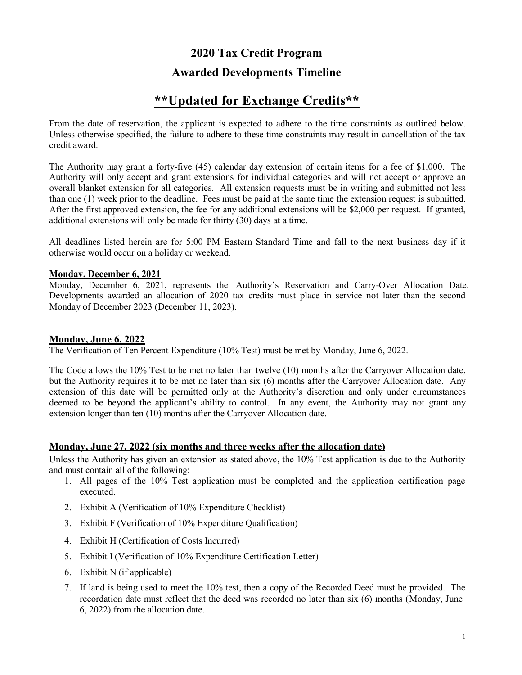# **2020 Tax Credit Program Awarded Developments Timeline**

# **\*\*Updated for Exchange Credits\*\***

From the date of reservation, the applicant is expected to adhere to the time constraints as outlined below. Unless otherwise specified, the failure to adhere to these time constraints may result in cancellation of the tax credit award.

The Authority may grant a forty-five (45) calendar day extension of certain items for a fee of \$1,000. The Authority will only accept and grant extensions for individual categories and will not accept or approve an overall blanket extension for all categories. All extension requests must be in writing and submitted not less than one (1) week prior to the deadline. Fees must be paid at the same time the extension request is submitted. After the first approved extension, the fee for any additional extensions will be \$2,000 per request. If granted, additional extensions will only be made for thirty (30) days at a time.

All deadlines listed herein are for 5:00 PM Eastern Standard Time and fall to the next business day if it otherwise would occur on a holiday or weekend.

#### **Monday, December 6, 2021**

Monday, December 6, 2021, represents the Authority's Reservation and Carry-Over Allocation Date. Developments awarded an allocation of 2020 tax credits must place in service not later than the second Monday of December 2023 (December 11, 2023).

#### **Monday, June 6, 2022**

The Verification of Ten Percent Expenditure (10% Test) must be met by Monday, June 6, 2022.

The Code allows the 10% Test to be met no later than twelve (10) months after the Carryover Allocation date, but the Authority requires it to be met no later than six (6) months after the Carryover Allocation date. Any extension of this date will be permitted only at the Authority's discretion and only under circumstances deemed to be beyond the applicant's ability to control. In any event, the Authority may not grant any extension longer than ten (10) months after the Carryover Allocation date.

# **Monday, June 27, 2022 (six months and three weeks after the allocation date)**

Unless the Authority has given an extension as stated above, the 10% Test application is due to the Authority and must contain all of the following:

- 1. All pages of the 10% Test application must be completed and the application certification page executed.
- 2. Exhibit A (Verification of 10% Expenditure Checklist)
- 3. Exhibit F (Verification of 10% Expenditure Qualification)
- 4. Exhibit H (Certification of Costs Incurred)
- 5. Exhibit I (Verification of 10% Expenditure Certification Letter)
- 6. Exhibit N (if applicable)
- 7. If land is being used to meet the 10% test, then a copy of the Recorded Deed must be provided. The recordation date must reflect that the deed was recorded no later than six (6) months (Monday, June 6, 2022) from the allocation date.